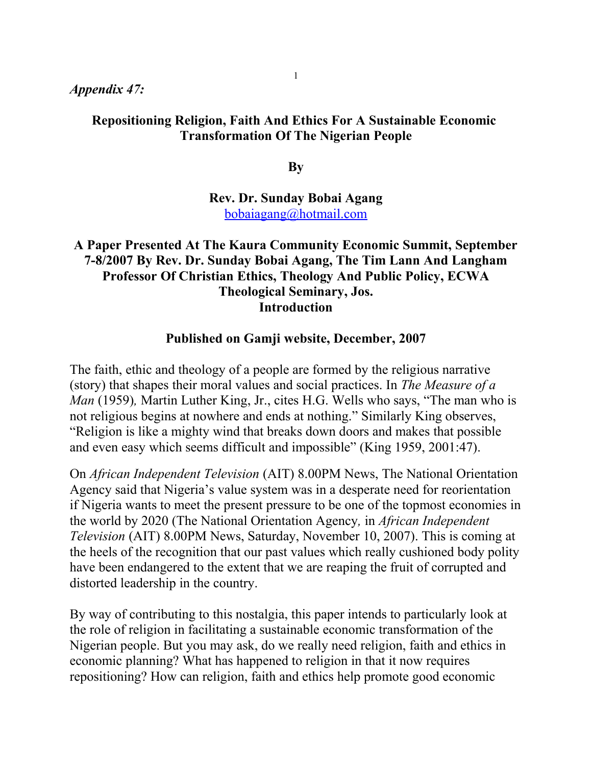## *Appendix 47:*

#### **Repositioning Religion, Faith And Ethics For A Sustainable Economic Transformation Of The Nigerian People**

**By**

**Rev. Dr. Sunday Bobai Agang** [bobaiagang@hotmail.com](mailto:bobaiagang@hotmail.com)

## **A Paper Presented At The Kaura Community Economic Summit, September 7-8/2007 By Rev. Dr. Sunday Bobai Agang, The Tim Lann And Langham Professor Of Christian Ethics, Theology And Public Policy, ECWA Theological Seminary, Jos. Introduction**

#### **Published on Gamji website, December, 2007**

The faith, ethic and theology of a people are formed by the religious narrative (story) that shapes their moral values and social practices. In *The Measure of a Man* (1959), Martin Luther King, Jr., cites H.G. Wells who says, "The man who is not religious begins at nowhere and ends at nothing." Similarly King observes, "Religion is like a mighty wind that breaks down doors and makes that possible and even easy which seems difficult and impossible" (King 1959, 2001:47).

On *African Independent Television* (AIT) 8.00PM News, The National Orientation Agency said that Nigeria's value system was in a desperate need for reorientation if Nigeria wants to meet the present pressure to be one of the topmost economies in the world by 2020 (The National Orientation Agency*,* in *African Independent Television* (AIT) 8.00PM News, Saturday, November 10, 2007). This is coming at the heels of the recognition that our past values which really cushioned body polity have been endangered to the extent that we are reaping the fruit of corrupted and distorted leadership in the country.

By way of contributing to this nostalgia, this paper intends to particularly look at the role of religion in facilitating a sustainable economic transformation of the Nigerian people. But you may ask, do we really need religion, faith and ethics in economic planning? What has happened to religion in that it now requires repositioning? How can religion, faith and ethics help promote good economic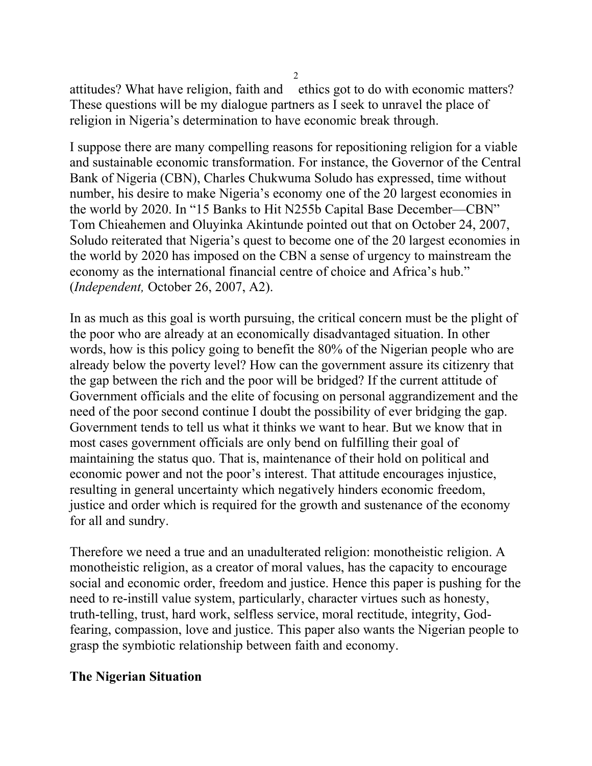attitudes? What have religion, faith and ethics got to do with economic matters? These questions will be my dialogue partners as I seek to unravel the place of religion in Nigeria's determination to have economic break through.

I suppose there are many compelling reasons for repositioning religion for a viable and sustainable economic transformation. For instance, the Governor of the Central Bank of Nigeria (CBN), Charles Chukwuma Soludo has expressed, time without number, his desire to make Nigeria's economy one of the 20 largest economies in the world by 2020. In "15 Banks to Hit N255b Capital Base December—CBN" Tom Chieahemen and Oluyinka Akintunde pointed out that on October 24, 2007, Soludo reiterated that Nigeria's quest to become one of the 20 largest economies in the world by 2020 has imposed on the CBN a sense of urgency to mainstream the economy as the international financial centre of choice and Africa's hub." (*Independent,* October 26, 2007, A2).

In as much as this goal is worth pursuing, the critical concern must be the plight of the poor who are already at an economically disadvantaged situation. In other words, how is this policy going to benefit the 80% of the Nigerian people who are already below the poverty level? How can the government assure its citizenry that the gap between the rich and the poor will be bridged? If the current attitude of Government officials and the elite of focusing on personal aggrandizement and the need of the poor second continue I doubt the possibility of ever bridging the gap. Government tends to tell us what it thinks we want to hear. But we know that in most cases government officials are only bend on fulfilling their goal of maintaining the status quo. That is, maintenance of their hold on political and economic power and not the poor's interest. That attitude encourages injustice, resulting in general uncertainty which negatively hinders economic freedom, justice and order which is required for the growth and sustenance of the economy for all and sundry.

Therefore we need a true and an unadulterated religion: monotheistic religion. A monotheistic religion, as a creator of moral values, has the capacity to encourage social and economic order, freedom and justice. Hence this paper is pushing for the need to re-instill value system, particularly, character virtues such as honesty, truth-telling, trust, hard work, selfless service, moral rectitude, integrity, Godfearing, compassion, love and justice. This paper also wants the Nigerian people to grasp the symbiotic relationship between faith and economy.

### **The Nigerian Situation**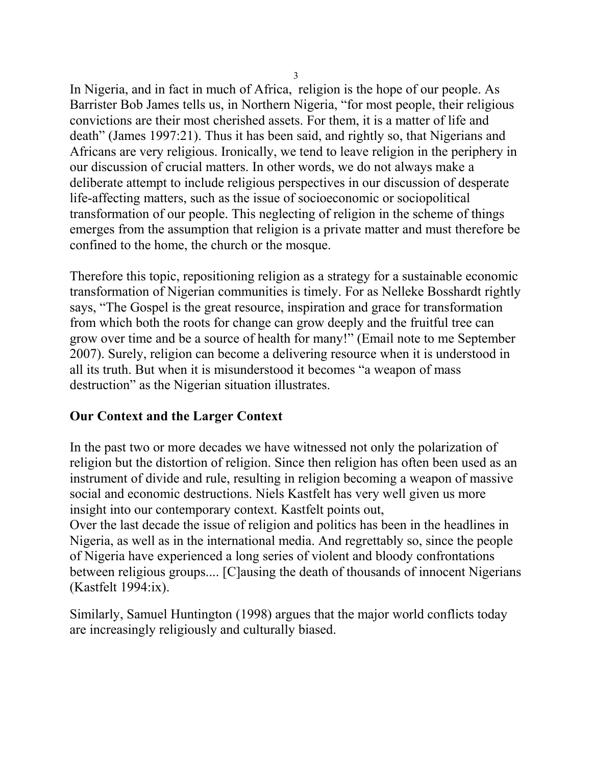In Nigeria, and in fact in much of Africa, religion is the hope of our people. As Barrister Bob James tells us, in Northern Nigeria, "for most people, their religious convictions are their most cherished assets. For them, it is a matter of life and death" (James 1997:21). Thus it has been said, and rightly so, that Nigerians and Africans are very religious. Ironically, we tend to leave religion in the periphery in our discussion of crucial matters. In other words, we do not always make a deliberate attempt to include religious perspectives in our discussion of desperate life-affecting matters, such as the issue of socioeconomic or sociopolitical transformation of our people. This neglecting of religion in the scheme of things emerges from the assumption that religion is a private matter and must therefore be confined to the home, the church or the mosque.

Therefore this topic, repositioning religion as a strategy for a sustainable economic transformation of Nigerian communities is timely. For as Nelleke Bosshardt rightly says, "The Gospel is the great resource, inspiration and grace for transformation from which both the roots for change can grow deeply and the fruitful tree can grow over time and be a source of health for many!" (Email note to me September 2007). Surely, religion can become a delivering resource when it is understood in all its truth. But when it is misunderstood it becomes "a weapon of mass destruction" as the Nigerian situation illustrates.

## **Our Context and the Larger Context**

In the past two or more decades we have witnessed not only the polarization of religion but the distortion of religion. Since then religion has often been used as an instrument of divide and rule, resulting in religion becoming a weapon of massive social and economic destructions. Niels Kastfelt has very well given us more insight into our contemporary context. Kastfelt points out, Over the last decade the issue of religion and politics has been in the headlines in Nigeria, as well as in the international media. And regrettably so, since the people of Nigeria have experienced a long series of violent and bloody confrontations between religious groups.... [C]ausing the death of thousands of innocent Nigerians (Kastfelt 1994:ix).

Similarly, Samuel Huntington (1998) argues that the major world conflicts today are increasingly religiously and culturally biased.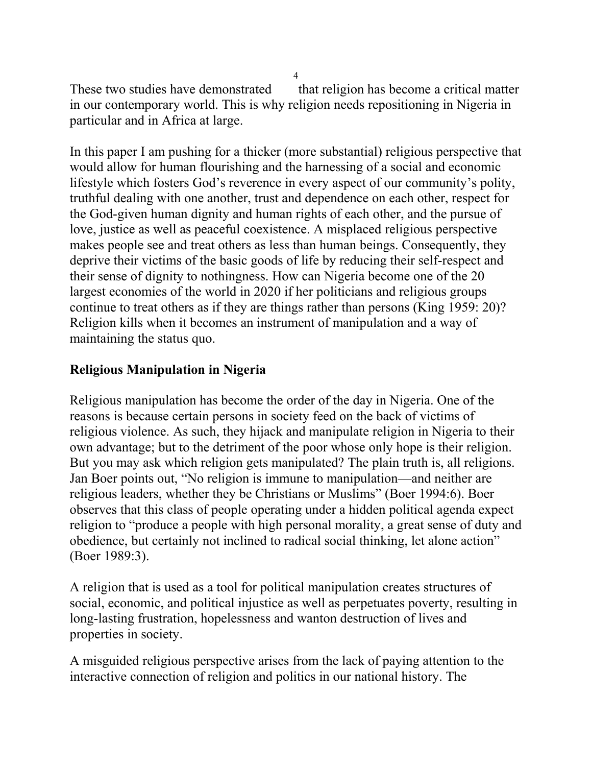These two studies have demonstrated that religion has become a critical matter in our contemporary world. This is why religion needs repositioning in Nigeria in particular and in Africa at large.

In this paper I am pushing for a thicker (more substantial) religious perspective that would allow for human flourishing and the harnessing of a social and economic lifestyle which fosters God's reverence in every aspect of our community's polity, truthful dealing with one another, trust and dependence on each other, respect for the God-given human dignity and human rights of each other, and the pursue of love, justice as well as peaceful coexistence. A misplaced religious perspective makes people see and treat others as less than human beings. Consequently, they deprive their victims of the basic goods of life by reducing their self-respect and their sense of dignity to nothingness. How can Nigeria become one of the 20 largest economies of the world in 2020 if her politicians and religious groups continue to treat others as if they are things rather than persons (King 1959: 20)? Religion kills when it becomes an instrument of manipulation and a way of maintaining the status quo.

# **Religious Manipulation in Nigeria**

Religious manipulation has become the order of the day in Nigeria. One of the reasons is because certain persons in society feed on the back of victims of religious violence. As such, they hijack and manipulate religion in Nigeria to their own advantage; but to the detriment of the poor whose only hope is their religion. But you may ask which religion gets manipulated? The plain truth is, all religions. Jan Boer points out, "No religion is immune to manipulation—and neither are religious leaders, whether they be Christians or Muslims" (Boer 1994:6). Boer observes that this class of people operating under a hidden political agenda expect religion to "produce a people with high personal morality, a great sense of duty and obedience, but certainly not inclined to radical social thinking, let alone action" (Boer 1989:3).

A religion that is used as a tool for political manipulation creates structures of social, economic, and political injustice as well as perpetuates poverty, resulting in long-lasting frustration, hopelessness and wanton destruction of lives and properties in society.

A misguided religious perspective arises from the lack of paying attention to the interactive connection of religion and politics in our national history. The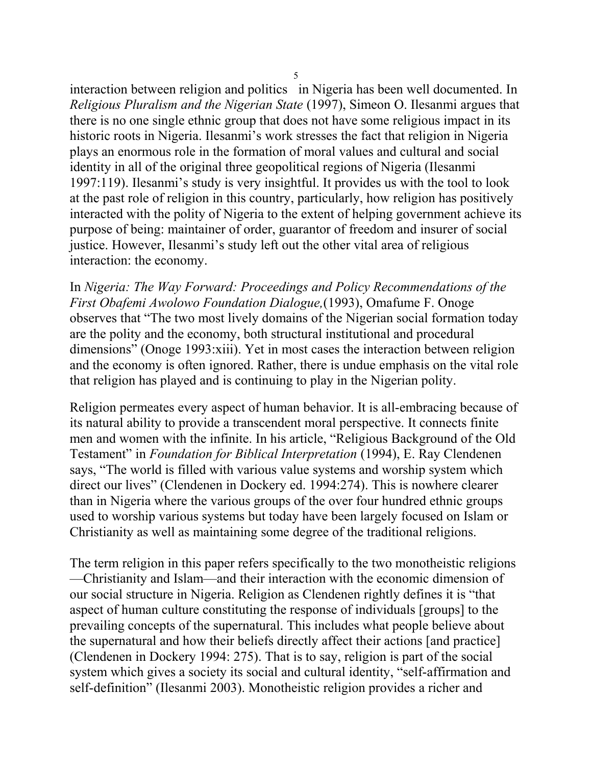interaction between religion and politics in Nigeria has been well documented. In *Religious Pluralism and the Nigerian State* (1997), Simeon O. Ilesanmi argues that there is no one single ethnic group that does not have some religious impact in its historic roots in Nigeria. Ilesanmi's work stresses the fact that religion in Nigeria plays an enormous role in the formation of moral values and cultural and social identity in all of the original three geopolitical regions of Nigeria (Ilesanmi 1997:119). Ilesanmi's study is very insightful. It provides us with the tool to look at the past role of religion in this country, particularly, how religion has positively interacted with the polity of Nigeria to the extent of helping government achieve its purpose of being: maintainer of order, guarantor of freedom and insurer of social justice. However, Ilesanmi's study left out the other vital area of religious interaction: the economy.

In *Nigeria: The Way Forward: Proceedings and Policy Recommendations of the First Obafemi Awolowo Foundation Dialogue,*(1993), Omafume F. Onoge observes that "The two most lively domains of the Nigerian social formation today are the polity and the economy, both structural institutional and procedural dimensions" (Onoge 1993:xiii). Yet in most cases the interaction between religion and the economy is often ignored. Rather, there is undue emphasis on the vital role that religion has played and is continuing to play in the Nigerian polity.

Religion permeates every aspect of human behavior. It is all-embracing because of its natural ability to provide a transcendent moral perspective. It connects finite men and women with the infinite. In his article, "Religious Background of the Old Testament" in *Foundation for Biblical Interpretation* (1994), E. Ray Clendenen says, "The world is filled with various value systems and worship system which direct our lives" (Clendenen in Dockery ed. 1994:274). This is nowhere clearer than in Nigeria where the various groups of the over four hundred ethnic groups used to worship various systems but today have been largely focused on Islam or Christianity as well as maintaining some degree of the traditional religions.

The term religion in this paper refers specifically to the two monotheistic religions —Christianity and Islam—and their interaction with the economic dimension of our social structure in Nigeria. Religion as Clendenen rightly defines it is "that aspect of human culture constituting the response of individuals [groups] to the prevailing concepts of the supernatural. This includes what people believe about the supernatural and how their beliefs directly affect their actions [and practice] (Clendenen in Dockery 1994: 275). That is to say, religion is part of the social system which gives a society its social and cultural identity, "self-affirmation and self-definition" (Ilesanmi 2003). Monotheistic religion provides a richer and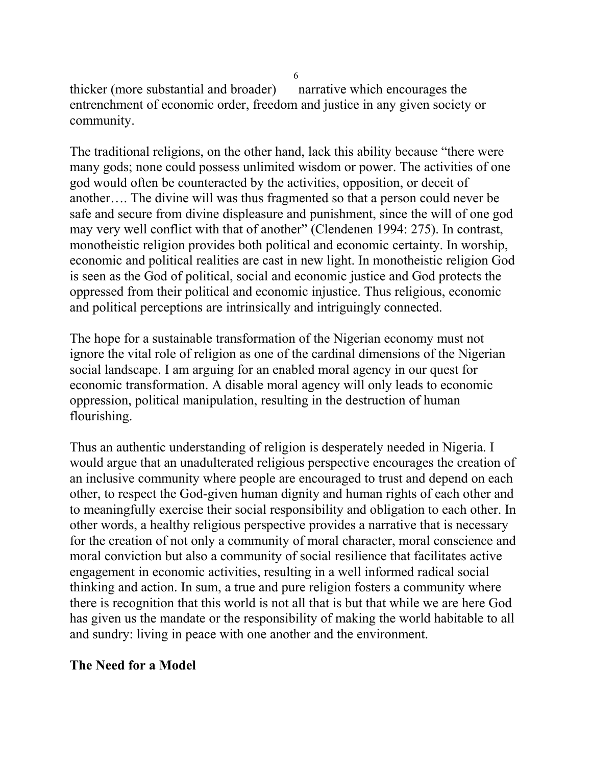thicker (more substantial and broader) narrative which encourages the entrenchment of economic order, freedom and justice in any given society or community.

The traditional religions, on the other hand, lack this ability because "there were many gods; none could possess unlimited wisdom or power. The activities of one god would often be counteracted by the activities, opposition, or deceit of another…. The divine will was thus fragmented so that a person could never be safe and secure from divine displeasure and punishment, since the will of one god may very well conflict with that of another" (Clendenen 1994: 275). In contrast, monotheistic religion provides both political and economic certainty. In worship, economic and political realities are cast in new light. In monotheistic religion God is seen as the God of political, social and economic justice and God protects the oppressed from their political and economic injustice. Thus religious, economic and political perceptions are intrinsically and intriguingly connected.

The hope for a sustainable transformation of the Nigerian economy must not ignore the vital role of religion as one of the cardinal dimensions of the Nigerian social landscape. I am arguing for an enabled moral agency in our quest for economic transformation. A disable moral agency will only leads to economic oppression, political manipulation, resulting in the destruction of human flourishing.

Thus an authentic understanding of religion is desperately needed in Nigeria. I would argue that an unadulterated religious perspective encourages the creation of an inclusive community where people are encouraged to trust and depend on each other, to respect the God-given human dignity and human rights of each other and to meaningfully exercise their social responsibility and obligation to each other. In other words, a healthy religious perspective provides a narrative that is necessary for the creation of not only a community of moral character, moral conscience and moral conviction but also a community of social resilience that facilitates active engagement in economic activities, resulting in a well informed radical social thinking and action. In sum, a true and pure religion fosters a community where there is recognition that this world is not all that is but that while we are here God has given us the mandate or the responsibility of making the world habitable to all and sundry: living in peace with one another and the environment.

## **The Need for a Model**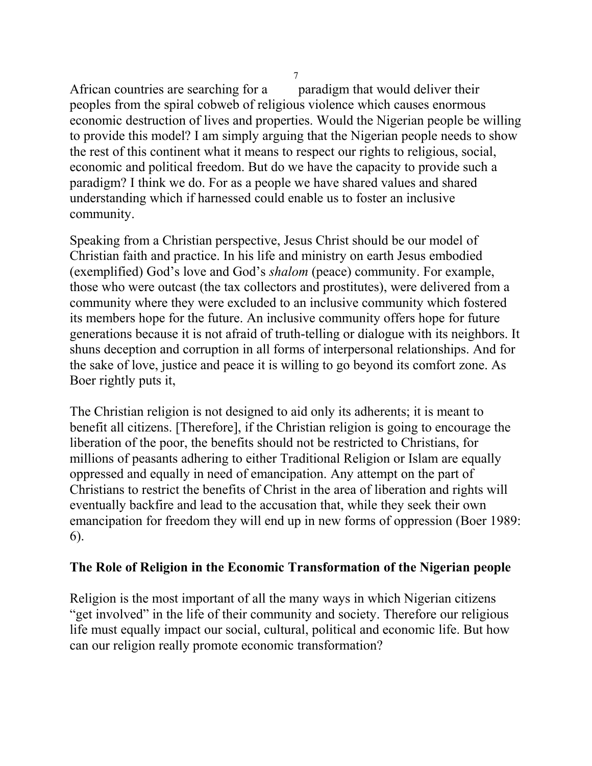African countries are searching for a paradigm that would deliver their peoples from the spiral cobweb of religious violence which causes enormous economic destruction of lives and properties. Would the Nigerian people be willing to provide this model? I am simply arguing that the Nigerian people needs to show the rest of this continent what it means to respect our rights to religious, social, economic and political freedom. But do we have the capacity to provide such a paradigm? I think we do. For as a people we have shared values and shared understanding which if harnessed could enable us to foster an inclusive community.

Speaking from a Christian perspective, Jesus Christ should be our model of Christian faith and practice. In his life and ministry on earth Jesus embodied (exemplified) God's love and God's *shalom* (peace) community. For example, those who were outcast (the tax collectors and prostitutes), were delivered from a community where they were excluded to an inclusive community which fostered its members hope for the future. An inclusive community offers hope for future generations because it is not afraid of truth-telling or dialogue with its neighbors. It shuns deception and corruption in all forms of interpersonal relationships. And for the sake of love, justice and peace it is willing to go beyond its comfort zone. As Boer rightly puts it,

The Christian religion is not designed to aid only its adherents; it is meant to benefit all citizens. [Therefore], if the Christian religion is going to encourage the liberation of the poor, the benefits should not be restricted to Christians, for millions of peasants adhering to either Traditional Religion or Islam are equally oppressed and equally in need of emancipation. Any attempt on the part of Christians to restrict the benefits of Christ in the area of liberation and rights will eventually backfire and lead to the accusation that, while they seek their own emancipation for freedom they will end up in new forms of oppression (Boer 1989: 6).

## **The Role of Religion in the Economic Transformation of the Nigerian people**

Religion is the most important of all the many ways in which Nigerian citizens "get involved" in the life of their community and society. Therefore our religious life must equally impact our social, cultural, political and economic life. But how can our religion really promote economic transformation?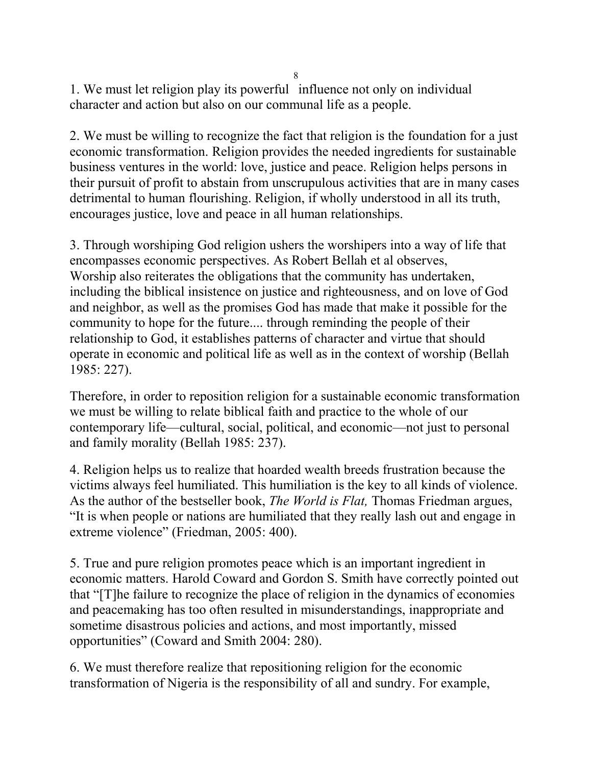1. We must let religion play its powerful influence not only on individual character and action but also on our communal life as a people.

2. We must be willing to recognize the fact that religion is the foundation for a just economic transformation. Religion provides the needed ingredients for sustainable business ventures in the world: love, justice and peace. Religion helps persons in their pursuit of profit to abstain from unscrupulous activities that are in many cases detrimental to human flourishing. Religion, if wholly understood in all its truth, encourages justice, love and peace in all human relationships.

3. Through worshiping God religion ushers the worshipers into a way of life that encompasses economic perspectives. As Robert Bellah et al observes, Worship also reiterates the obligations that the community has undertaken, including the biblical insistence on justice and righteousness, and on love of God and neighbor, as well as the promises God has made that make it possible for the community to hope for the future.... through reminding the people of their relationship to God, it establishes patterns of character and virtue that should operate in economic and political life as well as in the context of worship (Bellah 1985: 227).

Therefore, in order to reposition religion for a sustainable economic transformation we must be willing to relate biblical faith and practice to the whole of our contemporary life—cultural, social, political, and economic—not just to personal and family morality (Bellah 1985: 237).

4. Religion helps us to realize that hoarded wealth breeds frustration because the victims always feel humiliated. This humiliation is the key to all kinds of violence. As the author of the bestseller book, *The World is Flat,* Thomas Friedman argues, "It is when people or nations are humiliated that they really lash out and engage in extreme violence" (Friedman, 2005: 400).

5. True and pure religion promotes peace which is an important ingredient in economic matters. Harold Coward and Gordon S. Smith have correctly pointed out that "[T]he failure to recognize the place of religion in the dynamics of economies and peacemaking has too often resulted in misunderstandings, inappropriate and sometime disastrous policies and actions, and most importantly, missed opportunities" (Coward and Smith 2004: 280).

6. We must therefore realize that repositioning religion for the economic transformation of Nigeria is the responsibility of all and sundry. For example,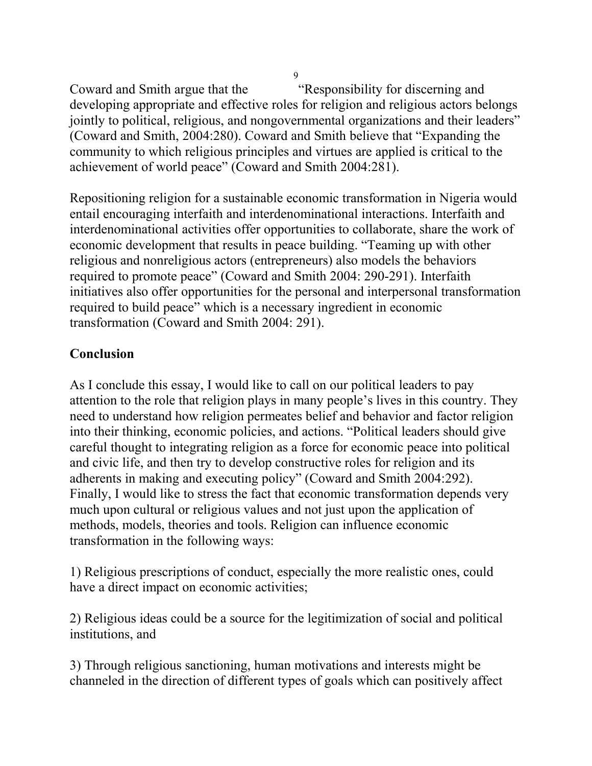Coward and Smith argue that the "Responsibility for discerning and developing appropriate and effective roles for religion and religious actors belongs jointly to political, religious, and nongovernmental organizations and their leaders" (Coward and Smith, 2004:280). Coward and Smith believe that "Expanding the community to which religious principles and virtues are applied is critical to the achievement of world peace" (Coward and Smith 2004:281).

Repositioning religion for a sustainable economic transformation in Nigeria would entail encouraging interfaith and interdenominational interactions. Interfaith and interdenominational activities offer opportunities to collaborate, share the work of economic development that results in peace building. "Teaming up with other religious and nonreligious actors (entrepreneurs) also models the behaviors required to promote peace" (Coward and Smith 2004: 290-291). Interfaith initiatives also offer opportunities for the personal and interpersonal transformation required to build peace" which is a necessary ingredient in economic transformation (Coward and Smith 2004: 291).

# **Conclusion**

As I conclude this essay, I would like to call on our political leaders to pay attention to the role that religion plays in many people's lives in this country. They need to understand how religion permeates belief and behavior and factor religion into their thinking, economic policies, and actions. "Political leaders should give careful thought to integrating religion as a force for economic peace into political and civic life, and then try to develop constructive roles for religion and its adherents in making and executing policy" (Coward and Smith 2004:292). Finally, I would like to stress the fact that economic transformation depends very much upon cultural or religious values and not just upon the application of methods, models, theories and tools. Religion can influence economic transformation in the following ways:

1) Religious prescriptions of conduct, especially the more realistic ones, could have a direct impact on economic activities;

2) Religious ideas could be a source for the legitimization of social and political institutions, and

3) Through religious sanctioning, human motivations and interests might be channeled in the direction of different types of goals which can positively affect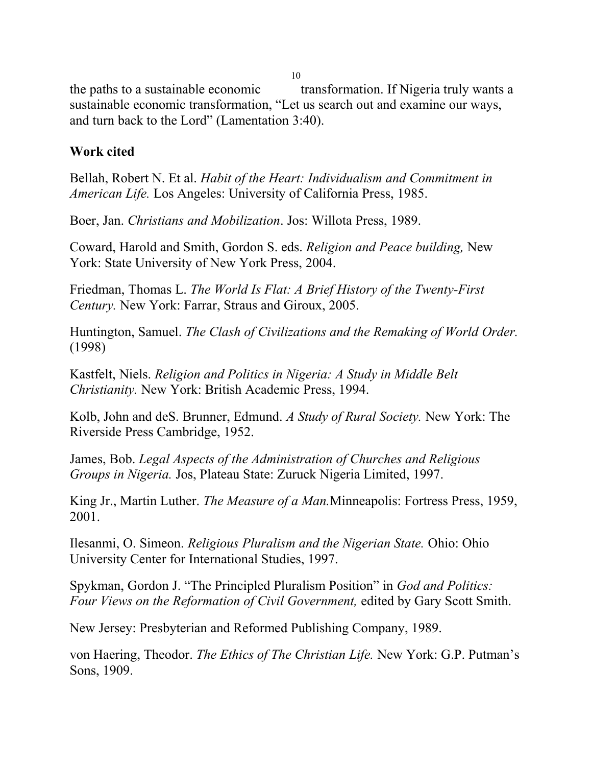the paths to a sustainable economic transformation. If Nigeria truly wants a sustainable economic transformation, "Let us search out and examine our ways, and turn back to the Lord" (Lamentation 3:40).

## **Work cited**

Bellah, Robert N. Et al. *Habit of the Heart: Individualism and Commitment in American Life.* Los Angeles: University of California Press, 1985.

Boer, Jan. *Christians and Mobilization*. Jos: Willota Press, 1989.

Coward, Harold and Smith, Gordon S. eds. *Religion and Peace building,* New York: State University of New York Press, 2004.

Friedman, Thomas L. *The World Is Flat: A Brief History of the Twenty-First Century.* New York: Farrar, Straus and Giroux, 2005.

Huntington, Samuel. *The Clash of Civilizations and the Remaking of World Order.* (1998)

Kastfelt, Niels. *Religion and Politics in Nigeria: A Study in Middle Belt Christianity.* New York: British Academic Press, 1994.

Kolb, John and deS. Brunner, Edmund. *A Study of Rural Society.* New York: The Riverside Press Cambridge, 1952.

James, Bob. *Legal Aspects of the Administration of Churches and Religious Groups in Nigeria.* Jos, Plateau State: Zuruck Nigeria Limited, 1997.

King Jr., Martin Luther. *The Measure of a Man.*Minneapolis: Fortress Press, 1959, 2001.

Ilesanmi, O. Simeon. *Religious Pluralism and the Nigerian State.* Ohio: Ohio University Center for International Studies, 1997.

Spykman, Gordon J. "The Principled Pluralism Position" in *God and Politics: Four Views on the Reformation of Civil Government,* edited by Gary Scott Smith.

New Jersey: Presbyterian and Reformed Publishing Company, 1989.

von Haering, Theodor. *The Ethics of The Christian Life.* New York: G.P. Putman's Sons, 1909.